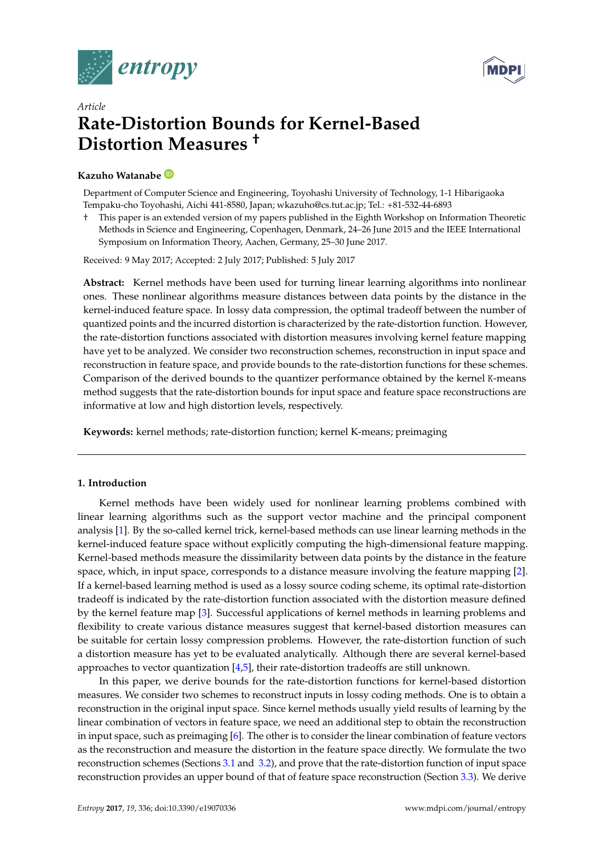



# *Article* **Rate-Distortion Bounds for Kernel-Based Distortion Measures †**

# **Kazuho Watanabe**

Department of Computer Science and Engineering, Toyohashi University of Technology, 1-1 Hibarigaoka Tempaku-cho Toyohashi, Aichi 441-8580, Japan; wkazuho@cs.tut.ac.jp; Tel.: +81-532-44-6893

† This paper is an extended version of my papers published in the Eighth Workshop on Information Theoretic Methods in Science and Engineering, Copenhagen, Denmark, 24–26 June 2015 and the IEEE International Symposium on Information Theory, Aachen, Germany, 25–30 June 2017.

Received: 9 May 2017; Accepted: 2 July 2017; Published: 5 July 2017

**Abstract:** Kernel methods have been used for turning linear learning algorithms into nonlinear ones. These nonlinear algorithms measure distances between data points by the distance in the kernel-induced feature space. In lossy data compression, the optimal tradeoff between the number of quantized points and the incurred distortion is characterized by the rate-distortion function. However, the rate-distortion functions associated with distortion measures involving kernel feature mapping have yet to be analyzed. We consider two reconstruction schemes, reconstruction in input space and reconstruction in feature space, and provide bounds to the rate-distortion functions for these schemes. Comparison of the derived bounds to the quantizer performance obtained by the kernel K-means method suggests that the rate-distortion bounds for input space and feature space reconstructions are informative at low and high distortion levels, respectively.

**Keywords:** kernel methods; rate-distortion function; kernel K-means; preimaging

# **1. Introduction**

Kernel methods have been widely used for nonlinear learning problems combined with linear learning algorithms such as the support vector machine and the principal component analysis [\[1\]](#page-11-0). By the so-called kernel trick, kernel-based methods can use linear learning methods in the kernel-induced feature space without explicitly computing the high-dimensional feature mapping. Kernel-based methods measure the dissimilarity between data points by the distance in the feature space, which, in input space, corresponds to a distance measure involving the feature mapping [\[2\]](#page-12-0). If a kernel-based learning method is used as a lossy source coding scheme, its optimal rate-distortion tradeoff is indicated by the rate-distortion function associated with the distortion measure defined by the kernel feature map [\[3\]](#page-12-1). Successful applications of kernel methods in learning problems and flexibility to create various distance measures suggest that kernel-based distortion measures can be suitable for certain lossy compression problems. However, the rate-distortion function of such a distortion measure has yet to be evaluated analytically. Although there are several kernel-based approaches to vector quantization [\[4,](#page-12-2)[5\]](#page-12-3), their rate-distortion tradeoffs are still unknown.

In this paper, we derive bounds for the rate-distortion functions for kernel-based distortion measures. We consider two schemes to reconstruct inputs in lossy coding methods. One is to obtain a reconstruction in the original input space. Since kernel methods usually yield results of learning by the linear combination of vectors in feature space, we need an additional step to obtain the reconstruction in input space, such as preimaging [\[6\]](#page-12-4). The other is to consider the linear combination of feature vectors as the reconstruction and measure the distortion in the feature space directly. We formulate the two reconstruction schemes (Sections [3.1](#page-2-0) and [3.2\)](#page-2-1), and prove that the rate-distortion function of input space reconstruction provides an upper bound of that of feature space reconstruction (Section [3.3\)](#page-3-0). We derive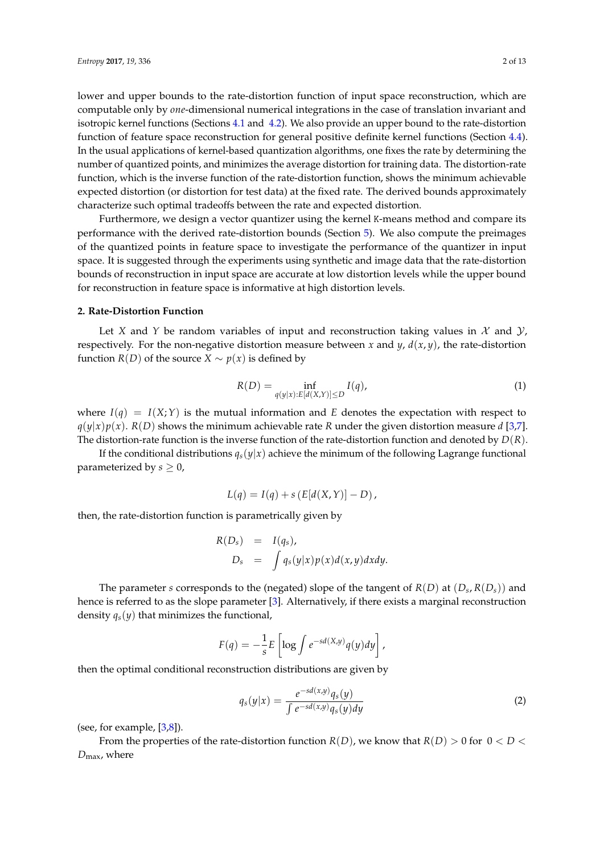lower and upper bounds to the rate-distortion function of input space reconstruction, which are computable only by *one*-dimensional numerical integrations in the case of translation invariant and isotropic kernel functions (Sections [4.1](#page-3-1) and [4.2\)](#page-4-0). We also provide an upper bound to the rate-distortion function of feature space reconstruction for general positive definite kernel functions (Section [4.4\)](#page-6-0). In the usual applications of kernel-based quantization algorithms, one fixes the rate by determining the number of quantized points, and minimizes the average distortion for training data. The distortion-rate function, which is the inverse function of the rate-distortion function, shows the minimum achievable expected distortion (or distortion for test data) at the fixed rate. The derived bounds approximately characterize such optimal tradeoffs between the rate and expected distortion.

Furthermore, we design a vector quantizer using the kernel K-means method and compare its performance with the derived rate-distortion bounds (Section [5\)](#page-7-0). We also compute the preimages of the quantized points in feature space to investigate the performance of the quantizer in input space. It is suggested through the experiments using synthetic and image data that the rate-distortion bounds of reconstruction in input space are accurate at low distortion levels while the upper bound for reconstruction in feature space is informative at high distortion levels.

## <span id="page-1-0"></span>**2. Rate-Distortion Function**

Let *X* and *Y* be random variables of input and reconstruction taking values in  $\mathcal X$  and  $\mathcal Y$ , respectively. For the non-negative distortion measure between *x* and *y*,  $d(x, y)$ , the rate-distortion function *R*(*D*) of the source *X* ∼ *p*(*x*) is defined by

$$
R(D) = \inf_{q(y|x):E[d(X,Y)] \le D} I(q),\tag{1}
$$

where  $I(q) = I(X;Y)$  is the mutual information and E denotes the expectation with respect to  $q(y|x)p(x)$ .  $R(D)$  shows the minimum achievable rate *R* under the given distortion measure *d* [\[3,](#page-12-1)[7\]](#page-12-5). The distortion-rate function is the inverse function of the rate-distortion function and denoted by *D*(*R*).

If the conditional distributions  $q_s(y|x)$  achieve the minimum of the following Lagrange functional parameterized by  $s \geq 0$ ,

$$
L(q) = I(q) + s(E[d(X, Y)] - D),
$$

then, the rate-distortion function is parametrically given by

$$
R(D_s) = I(q_s),
$$
  
\n
$$
D_s = \int q_s(y|x)p(x)d(x,y)dxdy.
$$

The parameter *s* corresponds to the (negated) slope of the tangent of  $R(D)$  at  $(D_s, R(D_s))$  and hence is referred to as the slope parameter [\[3\]](#page-12-1). Alternatively, if there exists a marginal reconstruction density  $q_s(y)$  that minimizes the functional,

$$
F(q) = -\frac{1}{s}E\left[\log \int e^{-sd(X,y)}q(y)dy\right],
$$

then the optimal conditional reconstruction distributions are given by

<span id="page-1-1"></span>
$$
q_s(y|x) = \frac{e^{-sd(x,y)}q_s(y)}{\int e^{-sd(x,y)}q_s(y)dy}
$$
\n(2)

(see, for example,  $[3,8]$  $[3,8]$ ).

From the properties of the rate-distortion function  $R(D)$ , we know that  $R(D) > 0$  for  $0 < D <$ *D*max, where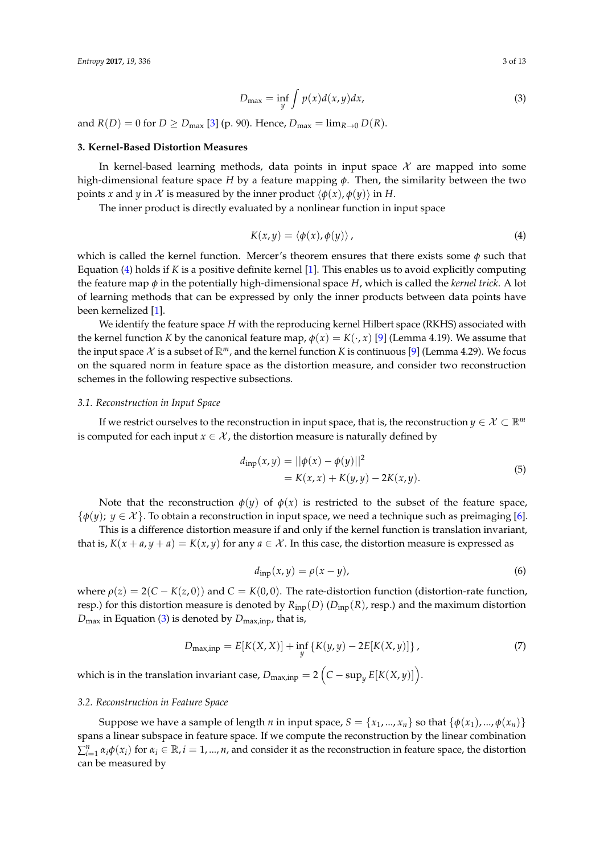<span id="page-2-3"></span>
$$
D_{\max} = \inf_{y} \int p(x) d(x, y) dx,
$$
\n(3)

and  $R(D) = 0$  for  $D \geq D_{\text{max}}$  [\[3\]](#page-12-1) (p. 90). Hence,  $D_{\text{max}} = \lim_{R \to 0} D(R)$ .

#### **3. Kernel-Based Distortion Measures**

In kernel-based learning methods, data points in input space  $\mathcal X$  are mapped into some high-dimensional feature space *H* by a feature mapping *φ*. Then, the similarity between the two points *x* and *y* in *X* is measured by the inner product  $\langle \phi(x), \phi(y) \rangle$  in *H*.

The inner product is directly evaluated by a nonlinear function in input space

<span id="page-2-2"></span>
$$
K(x,y) = \langle \phi(x), \phi(y) \rangle, \tag{4}
$$

which is called the kernel function. Mercer's theorem ensures that there exists some *φ* such that Equation [\(4\)](#page-2-2) holds if *K* is a positive definite kernel [\[1\]](#page-11-0). This enables us to avoid explicitly computing the feature map *φ* in the potentially high-dimensional space *H*, which is called the *kernel trick*. A lot of learning methods that can be expressed by only the inner products between data points have been kernelized [\[1\]](#page-11-0).

We identify the feature space *H* with the reproducing kernel Hilbert space (RKHS) associated with the kernel function *K* by the canonical feature map,  $\phi(x) = K(\cdot, x)$  [\[9\]](#page-12-7) (Lemma 4.19). We assume that the input space  $X$  is a subset of  $\mathbb{R}^m$ , and the kernel function *K* is continuous [\[9\]](#page-12-7) (Lemma 4.29). We focus on the squared norm in feature space as the distortion measure, and consider two reconstruction schemes in the following respective subsections.

#### <span id="page-2-0"></span>*3.1. Reconstruction in Input Space*

If we restrict ourselves to the reconstruction in input space, that is, the reconstruction *y*  $\in \mathcal{X} \subset \mathbb{R}^m$ is computed for each input  $x \in \mathcal{X}$ , the distortion measure is naturally defined by

<span id="page-2-5"></span>
$$
d_{\text{inp}}(x, y) = ||\phi(x) - \phi(y)||^2
$$
  
= K(x, x) + K(y, y) - 2K(x, y). (5)

Note that the reconstruction  $\phi(y)$  of  $\phi(x)$  is restricted to the subset of the feature space,  $\{\phi(y); y \in \mathcal{X}\}\.$  To obtain a reconstruction in input space, we need a technique such as preimaging [\[6\]](#page-12-4).

This is a difference distortion measure if and only if the kernel function is translation invariant, that is,  $K(x + a, y + a) = K(x, y)$  for any  $a \in \mathcal{X}$ . In this case, the distortion measure is expressed as

<span id="page-2-4"></span>
$$
d_{\text{inp}}(x, y) = \rho(x - y),\tag{6}
$$

where  $\rho(z) = 2(C - K(z, 0))$  and  $C = K(0, 0)$ . The rate-distortion function (distortion-rate function, resp.) for this distortion measure is denoted by  $R_{\text{inp}}(D)$  ( $D_{\text{inp}}(R)$ , resp.) and the maximum distortion  $D_{\text{max}}$  in Equation [\(3\)](#page-2-3) is denoted by  $D_{\text{max,inp}}$ , that is,

<span id="page-2-6"></span>
$$
D_{\max, \text{inp}} = E[K(X, X)] + \inf_{y} \{ K(y, y) - 2E[K(X, y)] \}, \tag{7}
$$

which is in the translation invariant case,  $D_{\text{max,inp}} = 2\left(C - \sup_y E[K(X, y)]\right).$ 

## <span id="page-2-1"></span>*3.2. Reconstruction in Feature Space*

Suppose we have a sample of length *n* in input space,  $S = \{x_1, ..., x_n\}$  so that  $\{\phi(x_1), ..., \phi(x_n)\}$ spans a linear subspace in feature space. If we compute the reconstruction by the linear combination  $\sum_{i=1}^n \alpha_i \phi(x_i)$  for  $\alpha_i \in \mathbb{R}$ ,  $i = 1, ..., n$ , and consider it as the reconstruction in feature space, the distortion can be measured by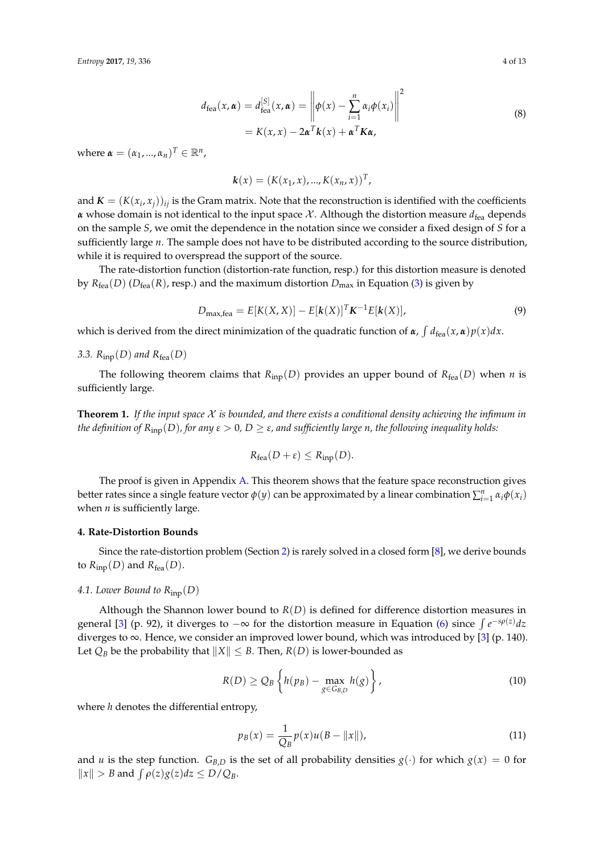$$
d_{\text{fea}}(x, \alpha) = d_{\text{fea}}^{[S]}(x, \alpha) = \left\| \phi(x) - \sum_{i=1}^{n} \alpha_i \phi(x_i) \right\|^2
$$
  
=  $K(x, x) - 2\alpha^T k(x) + \alpha^T K \alpha$ , (8)

where  $\boldsymbol{\alpha} = (\alpha_1, ..., \alpha_n)^T \in \mathbb{R}^n$ ,

$$
k(x) = (K(x_1, x), ..., K(x_n, x))^T,
$$

and  $\mathbf{K} = (K(x_i, x_j))_{ij}$  is the Gram matrix. Note that the reconstruction is identified with the coefficients  $\alpha$  whose domain is not identical to the input space  $\mathcal{X}$ . Although the distortion measure  $d_{\text{fea}}$  depends on the sample *S*, we omit the dependence in the notation since we consider a fixed design of *S* for a sufficiently large *n*. The sample does not have to be distributed according to the source distribution, while it is required to overspread the support of the source.

The rate-distortion function (distortion-rate function, resp.) for this distortion measure is denoted by  $R_{\text{fea}}(D)$  ( $D_{\text{fea}}(R)$ , resp.) and the maximum distortion  $D_{\text{max}}$  in Equation [\(3\)](#page-2-3) is given by

<span id="page-3-4"></span>
$$
D_{\max, \text{fea}} = E[K(X, X)] - E[k(X)]^T K^{-1} E[k(X)], \qquad (9)
$$

which is derived from the direct minimization of the quadratic function of  $\alpha$ ,  $\int d_{\text{fea}}(x, \alpha)p(x)dx$ .

# <span id="page-3-0"></span>3.3.  $R_{\text{inp}}(D)$  and  $R_{\text{fea}}(D)$

The following theorem claims that  $R_{\text{inp}}(D)$  provides an upper bound of  $R_{\text{fea}}(D)$  when *n* is sufficiently large.

<span id="page-3-5"></span>**Theorem 1.** *If the input space* X *is bounded, and there exists a conditional density achieving the infimum in the definition of*  $R_{inp}(D)$ *, for any*  $\varepsilon > 0$ *,*  $D \geq \varepsilon$ *, and sufficiently large n, the following inequality holds:* 

$$
R_{\text{fea}}(D+\varepsilon) \leq R_{\text{inp}}(D).
$$

The proof is given in Appendix [A.](#page-10-0) This theorem shows that the feature space reconstruction gives better rates since a single feature vector  $\phi(y)$  can be approximated by a linear combination  $\sum_{i=1}^n \alpha_i \phi(x_i)$ when *n* is sufficiently large.

## **4. Rate-Distortion Bounds**

Since the rate-distortion problem (Section [2\)](#page-1-0) is rarely solved in a closed form [\[8\]](#page-12-6), we derive bounds to  $R_{\text{inp}}(D)$  and  $R_{\text{fea}}(D)$ .

## <span id="page-3-1"></span>*4.1. Lower Bound to R*inp(*D*)

Although the Shannon lower bound to *R*(*D*) is defined for difference distortion measures in general [\[3\]](#page-12-1) (p. 92), it diverges to  $-\infty$  for the distortion measure in Equation [\(6\)](#page-2-4) since  $\int e^{-s\rho(z)}dz$ diverges to  $\infty$ . Hence, we consider an improved lower bound, which was introduced by [\[3\]](#page-12-1) (p. 140). Let  $Q_B$  be the probability that  $||X|| \leq B$ . Then,  $R(D)$  is lower-bounded as

<span id="page-3-2"></span>
$$
R(D) \geq Q_B \left\{ h(p_B) - \max_{g \in G_{B,D}} h(g) \right\},\tag{10}
$$

where *h* denotes the differential entropy,

<span id="page-3-3"></span>
$$
p_B(x) = \frac{1}{Q_B} p(x) u(B - ||x||),
$$
\n(11)

and *u* is the step function. *G*<sub>*B*,*D*</sub> is the set of all probability densities  $g(\cdot)$  for which  $g(x) = 0$  for  $||x|| > B$  and  $\int \rho(z)g(z)dz \le D/Q_B$ .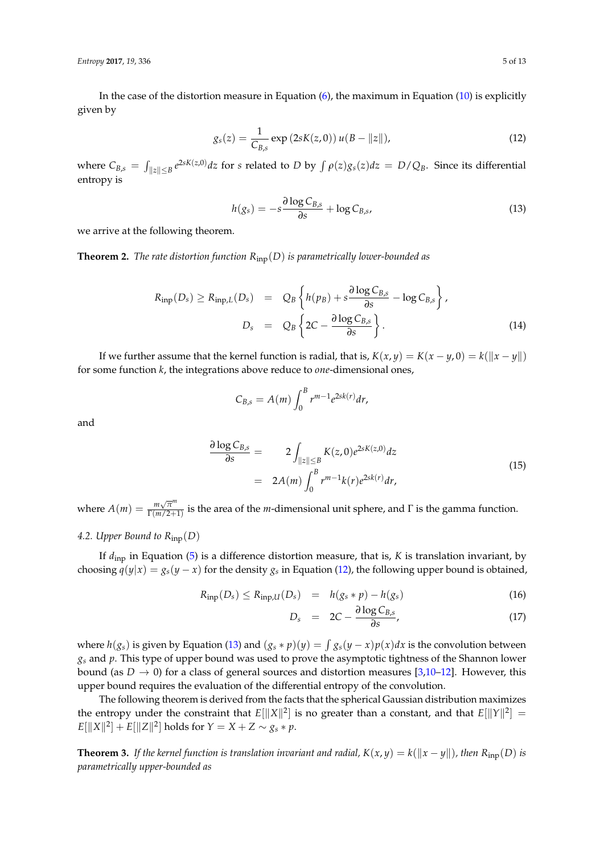*Entropy* **2017**, *19*, 336 5 of 13

In the case of the distortion measure in Equation [\(6\)](#page-2-4), the maximum in Equation [\(10\)](#page-3-2) is explicitly given by

<span id="page-4-1"></span>
$$
g_s(z) = \frac{1}{C_{B,s}} \exp(2sK(z,0)) u(B - ||z||),
$$
 (12)

where  $C_{B,s} = \int_{||z|| \le B} e^{2sK(z,0)} dz$  for s related to D by  $\int \rho(z)g_s(z) dz = D/Q_B$ . Since its differential entropy is

<span id="page-4-2"></span>
$$
h(g_s) = -s \frac{\partial \log C_{B,s}}{\partial s} + \log C_{B,s},\tag{13}
$$

we arrive at the following theorem.

<span id="page-4-6"></span>**Theorem 2.** *The rate distortion function R*inp(*D*) *is parametrically lower-bounded as*

<span id="page-4-5"></span>
$$
R_{\text{inp}}(D_s) \ge R_{\text{inp},L}(D_s) = Q_B \left\{ h(p_B) + s \frac{\partial \log C_{B,s}}{\partial s} - \log C_{B,s} \right\},
$$
  

$$
D_s = Q_B \left\{ 2C - \frac{\partial \log C_{B,s}}{\partial s} \right\}.
$$
 (14)

If we further assume that the kernel function is radial, that is,  $K(x, y) = K(x - y, 0) = k(||x - y||)$ for some function *k*, the integrations above reduce to *one*-dimensional ones,

$$
C_{B,s}=A(m)\int_0^B r^{m-1}e^{2sk(r)}dr,
$$

and

<span id="page-4-4"></span>
$$
\frac{\partial \log C_{B,s}}{\partial s} = 2 \int_{\|z\| \le B} K(z,0) e^{2sK(z,0)} dz
$$
  
= 2A(m)  $\int_0^B r^{m-1} k(r) e^{2sk(r)} dr$ , (15)

where  $A(m) = \frac{m\sqrt{\pi^m}}{\Gamma(m/2+1)}$  $\frac{m\sqrt{n}}{\Gamma(m/2+1)}$  is the area of the *m*-dimensional unit sphere, and  $\Gamma$  is the gamma function.

# <span id="page-4-0"></span>*4.2. Upper Bound to R*inp(*D*)

If *d*inp in Equation [\(5\)](#page-2-5) is a difference distortion measure, that is, *K* is translation invariant, by choosing  $q(y|x) = g_s(y-x)$  for the density  $g_s$  in Equation [\(12\)](#page-4-1), the following upper bound is obtained,

<span id="page-4-3"></span>
$$
R_{\text{inp}}(D_s) \le R_{\text{inp},U}(D_s) = h(g_s * p) - h(g_s)
$$
\n(16)

$$
D_s = 2C - \frac{\partial \log C_{B,s}}{\partial s}, \qquad (17)
$$

where  $h(g_s)$  is given by Equation [\(13\)](#page-4-2) and  $(g_s * p)(y) = \int g_s(y - x)p(x)dx$  is the convolution between *g<sup>s</sup>* and *p*. This type of upper bound was used to prove the asymptotic tightness of the Shannon lower bound (as  $D \to 0$ ) for a class of general sources and distortion measures [\[3,](#page-12-1)[10–](#page-12-8)[12\]](#page-12-9). However, this upper bound requires the evaluation of the differential entropy of the convolution.

The following theorem is derived from the facts that the spherical Gaussian distribution maximizes the entropy under the constraint that  $E[\|X\|^2]$  is no greater than a constant, and that  $E[\|Y\|^2] =$  $E[\|X\|^2] + E[\|Z\|^2]$  holds for  $Y = X + Z \sim g_s * p$ .

<span id="page-4-7"></span>**Theorem 3.** If the kernel function is translation invariant and radial,  $K(x, y) = k(||x - y||)$ , then  $R_{\text{inp}}(D)$  is *parametrically upper-bounded as*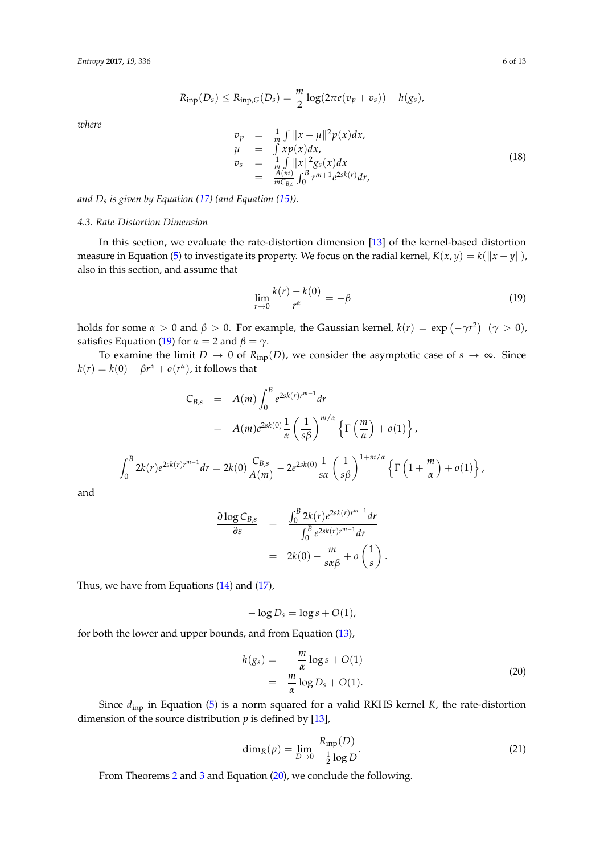$$
R_{\text{inp}}(D_s) \leq R_{\text{inp},G}(D_s) = \frac{m}{2} \log(2\pi e(v_p + v_s)) - h(g_s),
$$

*where*

<span id="page-5-2"></span>
$$
\begin{array}{rcl}\n v_p & = & \frac{1}{m} \int \|x - \mu\|^2 p(x) dx, \\
\mu & = & \int x p(x) dx, \\
v_s & = & \frac{1}{m} \int \|x\|^2 g_s(x) dx \\
& = & \frac{A(m)}{mC_{B,s}} \int_0^B r^{m+1} e^{2sk(r)} dr,\n \end{array} \tag{18}
$$

*and D<sup>s</sup> is given by Equation [\(17\)](#page-4-3) (and Equation [\(15\)](#page-4-4)).*

# <span id="page-5-4"></span>*4.3. Rate-Distortion Dimension*

In this section, we evaluate the rate-distortion dimension [\[13\]](#page-12-10) of the kernel-based distortion measure in Equation [\(5\)](#page-2-5) to investigate its property. We focus on the radial kernel,  $K(x, y) = k(||x - y||)$ , also in this section, and assume that

<span id="page-5-0"></span>
$$
\lim_{r \to 0} \frac{k(r) - k(0)}{r^{\alpha}} = -\beta \tag{19}
$$

holds for some  $α > 0$  and  $β > 0$ . For example, the Gaussian kernel,  $k(r) = \exp(-\gamma r^2)$   $(γ > 0)$ , satisfies Equation [\(19\)](#page-5-0) for  $\alpha = 2$  and  $\beta = \gamma$ .

To examine the limit *D*  $\rightarrow$  0 of *R*<sub>inp</sub>(*D*), we consider the asymptotic case of *s*  $\rightarrow \infty$ . Since  $k(r) = k(0) - \beta r^{\alpha} + o(r^{\alpha})$ , it follows that

$$
C_{B,s} = A(m) \int_0^B e^{2sk(r)r^{m-1}} dr
$$
  
=  $A(m)e^{2sk(0)} \frac{1}{\alpha} \left(\frac{1}{s\beta}\right)^{m/\alpha} \left\{\Gamma\left(\frac{m}{\alpha}\right) + o(1)\right\},$   

$$
\int_0^B 2k(r)e^{2sk(r)r^{m-1}} dr = 2k(0) \frac{C_{B,s}}{A(m)} - 2e^{2sk(0)} \frac{1}{s\alpha} \left(\frac{1}{s\beta}\right)^{1+m/\alpha} \left\{\Gamma\left(1 + \frac{m}{\alpha}\right) + o(1)\right\}
$$

and

$$
\frac{\partial \log C_{B,s}}{\partial s} = \frac{\int_0^B 2k(r)e^{2sk(r)r^{m-1}}dr}{\int_0^B e^{2sk(r)r^{m-1}}dr}
$$

$$
= 2k(0) - \frac{m}{s\alpha\beta} + o\left(\frac{1}{s}\right).
$$

Thus, we have from Equations [\(14\)](#page-4-5) and [\(17\)](#page-4-3),

$$
-\log D_s = \log s + O(1),
$$

for both the lower and upper bounds, and from Equation [\(13\)](#page-4-2),

<span id="page-5-1"></span>
$$
h(g_s) = -\frac{m}{\alpha} \log s + O(1)
$$
  
= 
$$
\frac{m}{\alpha} \log D_s + O(1).
$$
 (20)

Since *d*inp in Equation [\(5\)](#page-2-5) is a norm squared for a valid RKHS kernel *K*, the rate-distortion dimension of the source distribution  $p$  is defined by [\[13\]](#page-12-10),

<span id="page-5-3"></span>
$$
\dim_R(p) = \lim_{D \to 0} \frac{R_{\text{inp}}(D)}{-\frac{1}{2} \log D}.
$$
\n(21)

From Theorems [2](#page-4-6) and [3](#page-4-7) and Equation [\(20\)](#page-5-1), we conclude the following.

,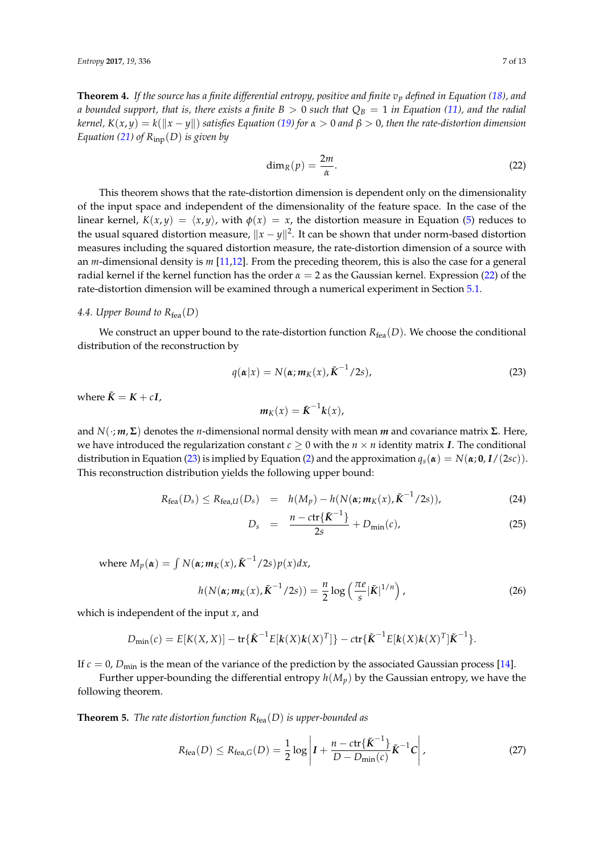**Theorem 4.** If the source has a finite differential entropy, positive and finite  $v_p$  defined in Equation [\(18\)](#page-5-2), and *a bounded support, that is, there exists a finite*  $B > 0$  *such that*  $Q_B = 1$  *in Equation [\(11\)](#page-3-3), and the radial kernel,*  $K(x, y) = k(||x - y||)$  *satisfies Equation* [\(19\)](#page-5-0) *for*  $\alpha > 0$  *and*  $\beta > 0$ *, then the rate-distortion dimension Equation [\(21\)](#page-5-3) of*  $R_{\text{inp}}(D)$  *is given by* 

<span id="page-6-1"></span>
$$
\dim_R(p) = \frac{2m}{\alpha}.\tag{22}
$$

This theorem shows that the rate-distortion dimension is dependent only on the dimensionality of the input space and independent of the dimensionality of the feature space. In the case of the linear kernel,  $K(x, y) = \langle x, y \rangle$ , with  $\phi(x) = x$ , the distortion measure in Equation [\(5\)](#page-2-5) reduces to the usual squared distortion measure,  $\|x-y\|^2$ . It can be shown that under norm-based distortion measures including the squared distortion measure, the rate-distortion dimension of a source with an *m*-dimensional density is *m* [\[11](#page-12-11)[,12\]](#page-12-9). From the preceding theorem, this is also the case for a general radial kernel if the kernel function has the order *α* = 2 as the Gaussian kernel. Expression [\(22\)](#page-6-1) of the rate-distortion dimension will be examined through a numerical experiment in Section [5.1.](#page-7-1)

# <span id="page-6-0"></span>4.4. Upper Bound to  $R_{\text{fea}}(D)$

We construct an upper bound to the rate-distortion function  $R_{\text{fea}}(D)$ . We choose the conditional distribution of the reconstruction by

<span id="page-6-2"></span>
$$
q(\boldsymbol{\alpha}|x) = N(\boldsymbol{\alpha}; m_K(x), \tilde{K}^{-1}/2s),
$$
\n(23)

where  $\tilde{K} = K + cI$ ,

$$
m_K(x) = \tilde{K}^{-1}k(x),
$$

and *N*(·; *m*, **Σ**) denotes the *n*-dimensional normal density with mean *m* and covariance matrix **Σ**. Here, we have introduced the regularization constant  $c \geq 0$  with the  $n \times n$  identity matrix *I*. The conditional distribution in Equation [\(23\)](#page-6-2) is implied by Equation [\(2\)](#page-1-1) and the approximation  $q_s(\alpha) = N(\alpha; \mathbf{0}, I/(2sc))$ . This reconstruction distribution yields the following upper bound:

<span id="page-6-5"></span>
$$
R_{\text{fea}}(D_s) \le R_{\text{fea},U}(D_s) = h(M_p) - h(N(\alpha; m_K(x), \tilde{K}^{-1}/2s)), \qquad (24)
$$

$$
D_s = \frac{n - \text{ctr}\{\tilde{K}^{-1}\}}{2s} + D_{\min}(c), \tag{25}
$$

 $W$  where  $M_p(\boldsymbol{\alpha}) = \int N(\boldsymbol{\alpha}; \boldsymbol{m}_K(\boldsymbol{x}), \tilde{\boldsymbol{K}}^{-1}/2s) p(\boldsymbol{x}) d\boldsymbol{x}$ 

<span id="page-6-6"></span>
$$
h(N(\boldsymbol{\alpha};\boldsymbol{m}_K(x),\tilde{\boldsymbol{K}}^{-1}/2s))=\frac{n}{2}\log\left(\frac{\pi e}{s}|\tilde{\boldsymbol{K}}|^{1/n}\right),
$$
\n(26)

which is independent of the input *x*, and

$$
D_{\min}(c) = E[K(X, X)] - tr{\lbrace \tilde{\boldsymbol{K}}^{-1}E[\boldsymbol{k}(X)\boldsymbol{k}(X)^{T}]\rbrace} - ctr{\lbrace \tilde{\boldsymbol{K}}^{-1}E[\boldsymbol{k}(X)\boldsymbol{k}(X)^{T}]\tilde{\boldsymbol{K}}^{-1} \rbrace}.
$$

If  $c = 0$ ,  $D_{\text{min}}$  is the mean of the variance of the prediction by the associated Gaussian process [\[14\]](#page-12-12).

Further upper-bounding the differential entropy  $h(M_p)$  by the Gaussian entropy, we have the following theorem.

<span id="page-6-4"></span>**Theorem 5.** *The rate distortion function*  $R_{fea}(D)$  *is upper-bounded as* 

<span id="page-6-3"></span>
$$
R_{\text{fea}}(D) \le R_{\text{fea},G}(D) = \frac{1}{2} \log \left| I + \frac{n - \text{ctr}\{\tilde{K}^{-1}\}}{D - D_{\text{min}}(c)} \tilde{K}^{-1} C \right|,
$$
 (27)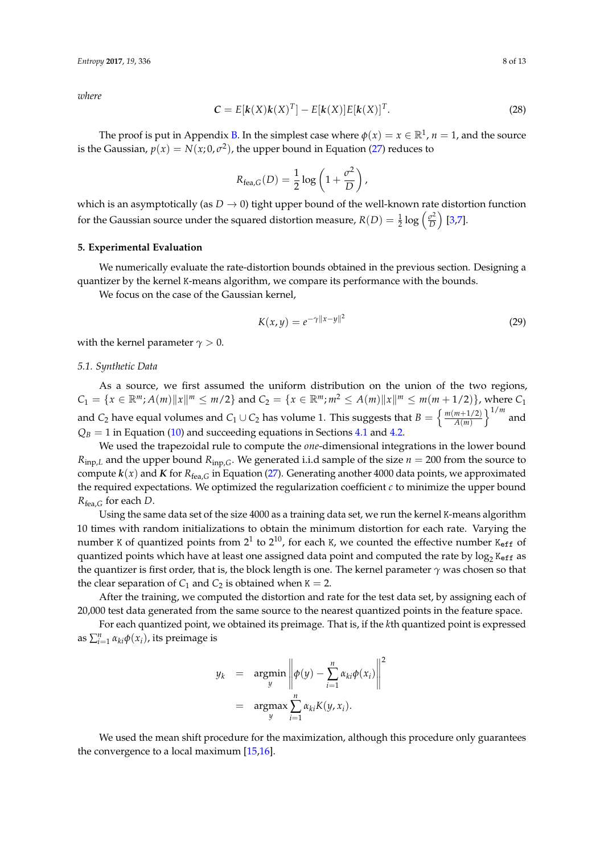*where*

<span id="page-7-3"></span>
$$
\mathbf{C} = E[\mathbf{k}(X)\mathbf{k}(X)^{T}] - E[\mathbf{k}(X)]E[\mathbf{k}(X)]^{T}.
$$
 (28)

The proof is put in Appendix [B.](#page-11-1) In the simplest case where  $\phi(x) = x \in \mathbb{R}^1$ ,  $n = 1$ , and the source is the Gaussian,  $p(x) = N(x; 0, \sigma^2)$ , the upper bound in Equation [\(27\)](#page-6-3) reduces to

$$
R_{\text{fea},G}(D) = \frac{1}{2} \log \left( 1 + \frac{\sigma^2}{D} \right),
$$

which is an asymptotically (as  $D \to 0$ ) tight upper bound of the well-known rate distortion function for the Gaussian source under the squared distortion measure,  $R(D) = \frac{1}{2} \log \left( \frac{\sigma^2}{D} \right)$  $\left(\frac{\sigma^2}{D}\right)$  [\[3](#page-12-1)[,7\]](#page-12-5).

# <span id="page-7-0"></span>**5. Experimental Evaluation**

We numerically evaluate the rate-distortion bounds obtained in the previous section. Designing a quantizer by the kernel K-means algorithm, we compare its performance with the bounds.

We focus on the case of the Gaussian kernel,

<span id="page-7-2"></span>
$$
K(x, y) = e^{-\gamma ||x - y||^2}
$$
 (29)

with the kernel parameter  $\gamma > 0$ .

#### <span id="page-7-1"></span>*5.1. Synthetic Data*

As a source, we first assumed the uniform distribution on the union of the two regions,  $C_1 = \{x \in \mathbb{R}^m; A(m)\|x\|^m \le m/2\}$  and  $C_2 = \{x \in \mathbb{R}^m; m^2 \le A(m)\|x\|^m \le m(m+1/2)\}$ , where  $C_1$ and *C*<sub>2</sub> have equal volumes and *C*<sub>1</sub> ∪ *C*<sub>2</sub> has volume 1. This suggests that  $B = \left\{ \frac{m(m+1/2)}{A(m)} \right\}$  $\frac{m+1/2)}{A(m)}\Big\}^{1/m}$  and  $Q_B = 1$  in Equation [\(10\)](#page-3-2) and succeeding equations in Sections [4.1](#page-3-1) and [4.2.](#page-4-0)

We used the trapezoidal rule to compute the *one*-dimensional integrations in the lower bound  $R_{inp,L}$  and the upper bound  $R_{inp,G}$ . We generated i.i.d sample of the size  $n = 200$  from the source to compute  $k(x)$  and  $K$  for  $R_{\text{fea},G}$  in Equation [\(27\)](#page-6-3). Generating another 4000 data points, we approximated the required expectations. We optimized the regularization coefficient *c* to minimize the upper bound *R*fea,*<sup>G</sup>* for each *D*.

Using the same data set of the size 4000 as a training data set, we run the kernel K-means algorithm 10 times with random initializations to obtain the minimum distortion for each rate. Varying the number K of quantized points from  $2^1$  to  $2^{10}$ , for each K, we counted the effective number K<sub>eff</sub> of quantized points which have at least one assigned data point and computed the rate by  $\log_2\texttt{K}_{\tt eff}$  as the quantizer is first order, that is, the block length is one. The kernel parameter *γ* was chosen so that the clear separation of  $C_1$  and  $C_2$  is obtained when  $K = 2$ .

After the training, we computed the distortion and rate for the test data set, by assigning each of 20,000 test data generated from the same source to the nearest quantized points in the feature space.

For each quantized point, we obtained its preimage. That is, if the *k*th quantized point is expressed as  $\sum_{i=1}^{n} \alpha_{ki} \phi(x_i)$ , its preimage is

$$
y_k = \underset{y}{\operatorname{argmin}} \left\| \phi(y) - \sum_{i=1}^n \alpha_{ki} \phi(x_i) \right\|^2
$$

$$
= \underset{y}{\operatorname{argmax}} \sum_{i=1}^n \alpha_{ki} K(y, x_i).
$$

We used the mean shift procedure for the maximization, although this procedure only guarantees the convergence to a local maximum [\[15](#page-12-13)[,16\]](#page-12-14).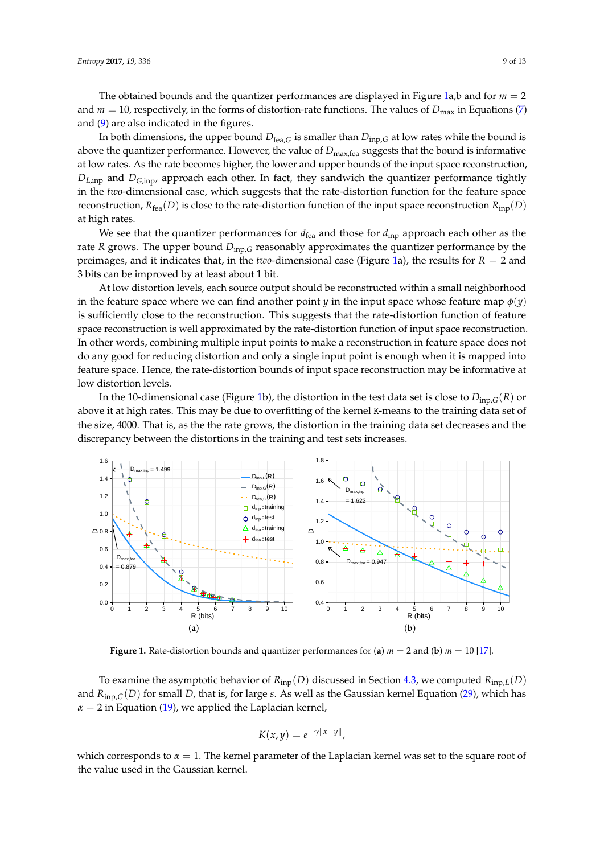The obtained bounds and the quantizer performances are displayed in Figure [1a](#page-8-0),b and for *m* = 2 and  $m = 10$ , respectively, in the forms of distortion-rate functions. The values of  $D_{\text{max}}$  in Equations [\(7\)](#page-2-6) and [\(9\)](#page-3-4) are also indicated in the figures.

In both dimensions, the upper bound  $D_{\text{fea},G}$  is smaller than  $D_{\text{inp},G}$  at low rates while the bound is above the quantizer performance. However, the value of  $D_{\text{max,fea}}$  suggests that the bound is informative at low rates. As the rate becomes higher, the lower and upper bounds of the input space reconstruction, *DL*,inp and *DG*,inp, approach each other. In fact, they sandwich the quantizer performance tightly in the *two*-dimensional case, which suggests that the rate-distortion function for the feature space reconstruction,  $R_{\text{fea}}(D)$  is close to the rate-distortion function of the input space reconstruction  $R_{\text{inp}}(D)$ at high rates.

We see that the quantizer performances for  $d_{\text{fea}}$  and those for  $d_{\text{inp}}$  approach each other as the rate *R* grows. The upper bound *D*inp,*<sup>G</sup>* reasonably approximates the quantizer performance by the preimages, and it indicates that, in the *two*-dimensional case (Figure [1a](#page-8-0)), the results for *R* = 2 and 3 bits can be improved by at least about 1 bit.

At low distortion levels, each source output should be reconstructed within a small neighborhood in the feature space where we can find another point *y* in the input space whose feature map  $\phi(y)$ is sufficiently close to the reconstruction. This suggests that the rate-distortion function of feature space reconstruction is well approximated by the rate-distortion function of input space reconstruction. In other words, combining multiple input points to make a reconstruction in feature space does not do any good for reducing distortion and only a single input point is enough when it is mapped into feature space. Hence, the rate-distortion bounds of input space reconstruction may be informative at low distortion levels.

In the 10-dimensional case (Figure [1b](#page-8-0)), the distortion in the test data set is close to  $D_{\text{inp},G}(R)$  or above it at high rates. This may be due to overfitting of the kernel K-means to the training data set of the size, 4000. That is, as the the rate grows, the distortion in the training data set decreases and the discrepancy between the distortions in the training and test sets increases.

<span id="page-8-0"></span>

**Figure 1.** Rate-distortion bounds and quantizer performances for (**a**) *m* = 2 and (**b**) *m* = 10 [\[17\]](#page-12-15).

To examine the asymptotic behavior of  $R_{\text{inp}}(D)$  discussed in Section [4.3,](#page-5-4) we computed  $R_{\text{inp},L}(D)$ and *R*inp,*G*(*D*) for small *D*, that is, for large *s*. As well as the Gaussian kernel Equation [\(29\)](#page-7-2), which has  $\alpha = 2$  in Equation [\(19\)](#page-5-0), we applied the Laplacian kernel,

$$
K(x,y) = e^{-\gamma ||x-y||},
$$

which corresponds to  $\alpha = 1$ . The kernel parameter of the Laplacian kernel was set to the square root of the value used in the Gaussian kernel.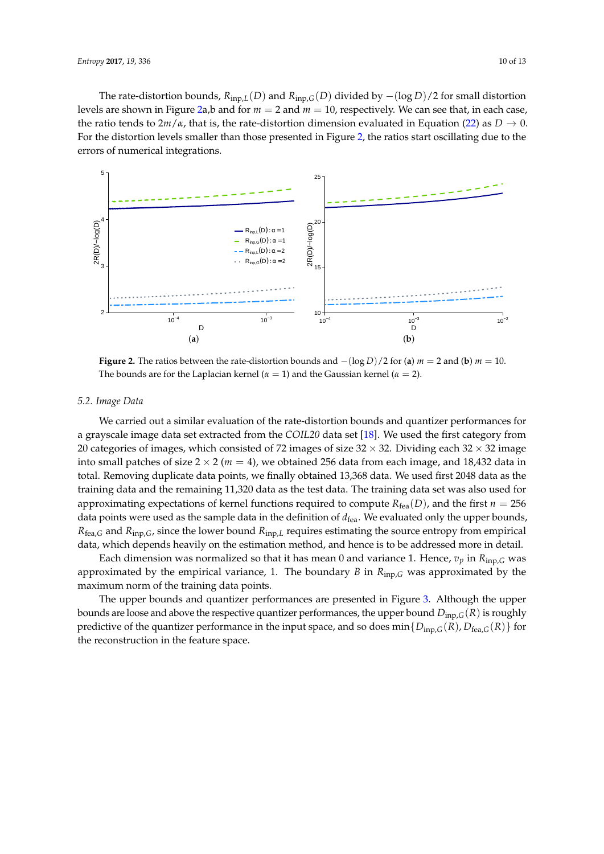The rate-distortion bounds,  $R_{\text{inp},L}(D)$  and  $R_{\text{inp},G}(D)$  divided by  $-(\log D)/2$  for small distortion levels are shown in Figure [2a](#page-9-0),b and for *m* = 2 and *m* = 10, respectively. We can see that, in each case, the ratio tends to  $2m/\alpha$ , that is, the rate-distortion dimension evaluated in Equation [\(22\)](#page-6-1) as  $D \to 0$ . For the distortion levels smaller than those presented in Figure [2,](#page-9-0) the ratios start oscillating due to the errors of numerical integrations.

<span id="page-9-0"></span>

**Figure 2.** The ratios between the rate-distortion bounds and  $-(\log D)/2$  for (**a**)  $m = 2$  and (**b**)  $m = 10$ . The bounds are for the Laplacian kernel ( $\alpha = 1$ ) and the Gaussian kernel ( $\alpha = 2$ ).

## *5.2. Image Data*

We carried out a similar evaluation of the rate-distortion bounds and quantizer performances for a grayscale image data set extracted from the *COIL20* data set [\[18\]](#page-12-16). We used the first category from 20 categories of images, which consisted of 72 images of size  $32 \times 32$ . Dividing each  $32 \times 32$  image into small patches of size  $2 \times 2$  ( $m = 4$ ), we obtained 256 data from each image, and 18,432 data in total. Removing duplicate data points, we finally obtained 13,368 data. We used first 2048 data as the training data and the remaining 11,320 data as the test data. The training data set was also used for approximating expectations of kernel functions required to compute  $R_{\text{fea}}(D)$ , and the first  $n = 256$ data points were used as the sample data in the definition of  $d_{\text{fea}}$ . We evaluated only the upper bounds, *R*fea,*<sup>G</sup>* and *R*inp,*G*, since the lower bound *R*inp,*<sup>L</sup>* requires estimating the source entropy from empirical data, which depends heavily on the estimation method, and hence is to be addressed more in detail.

Each dimension was normalized so that it has mean 0 and variance 1. Hence,  $v_p$  in  $R_{\text{inp},G}$  was approximated by the empirical variance, 1. The boundary *B* in *R*inp,*<sup>G</sup>* was approximated by the maximum norm of the training data points.

The upper bounds and quantizer performances are presented in Figure [3.](#page-10-1) Although the upper bounds are loose and above the respective quantizer performances, the upper bound *D*inp,*G*(*R*) is roughly predictive of the quantizer performance in the input space, and so does  $min\{D_{\text{inp},G}(R), D_{\text{fea},G}(R)\}$  for the reconstruction in the feature space.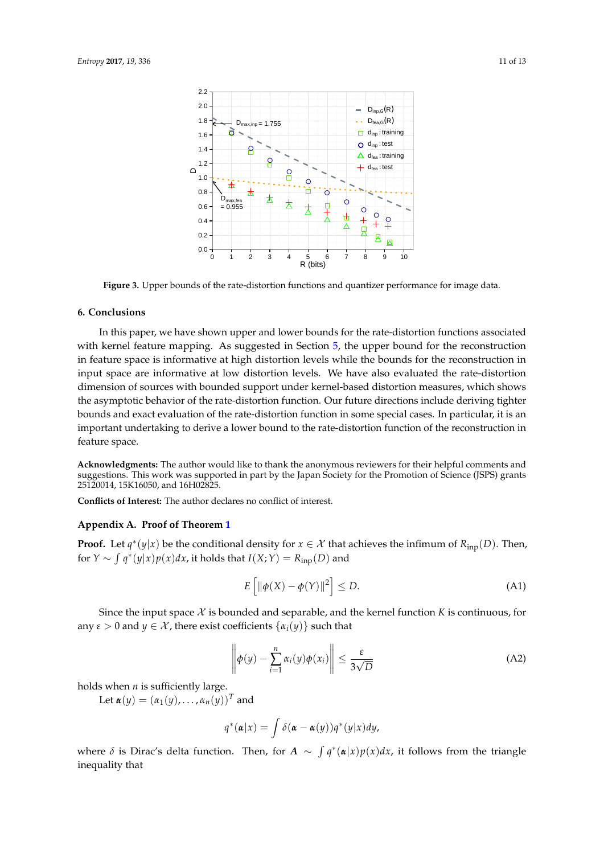<span id="page-10-1"></span>

**Figure 3.** Upper bounds of the rate-distortion functions and quantizer performance for image data.

# **6. Conclusions**

In this paper, we have shown upper and lower bounds for the rate-distortion functions associated with kernel feature mapping. As suggested in Section [5,](#page-7-0) the upper bound for the reconstruction in feature space is informative at high distortion levels while the bounds for the reconstruction in input space are informative at low distortion levels. We have also evaluated the rate-distortion dimension of sources with bounded support under kernel-based distortion measures, which shows the asymptotic behavior of the rate-distortion function. Our future directions include deriving tighter bounds and exact evaluation of the rate-distortion function in some special cases. In particular, it is an important undertaking to derive a lower bound to the rate-distortion function of the reconstruction in feature space.

**Acknowledgments:** The author would like to thank the anonymous reviewers for their helpful comments and suggestions. This work was supported in part by the Japan Society for the Promotion of Science (JSPS) grants 25120014, 15K16050, and 16H02825.

**Conflicts of Interest:** The author declares no conflict of interest.

# <span id="page-10-0"></span>**Appendix A. Proof of Theorem [1](#page-3-5)**

**Proof.** Let  $q^*(y|x)$  be the conditional density for  $x \in \mathcal{X}$  that achieves the infimum of  $R_{\text{inp}}(D)$ . Then, for  $Y \sim \int q^*(y|x)p(x)dx$ , it holds that  $I(X;Y) = R_{\text{inp}}(D)$  and

<span id="page-10-2"></span>
$$
E\left[\|\phi(X) - \phi(Y)\|^2\right] \le D. \tag{A1}
$$

Since the input space  $X$  is bounded and separable, and the kernel function  $K$  is continuous, for any  $\varepsilon > 0$  and  $y \in \mathcal{X}$ , there exist coefficients  $\{\alpha_i(y)\}\$  such that

<span id="page-10-3"></span>
$$
\left\|\phi(y) - \sum_{i=1}^{n} \alpha_i(y)\phi(x_i)\right\| \le \frac{\varepsilon}{3\sqrt{D}}\tag{A2}
$$

holds when *n* is sufficiently large.

Let  $\alpha(y) = (\alpha_1(y), \ldots, \alpha_n(y))^T$  and

$$
q^*(\boldsymbol{\alpha}|x) = \int \delta(\boldsymbol{\alpha} - \boldsymbol{\alpha}(y)) q^*(y|x) dy,
$$

where  $\delta$  is Dirac's delta function. Then, for  $A \sim \int q^*(\alpha|x)p(x)dx$ , it follows from the triangle inequality that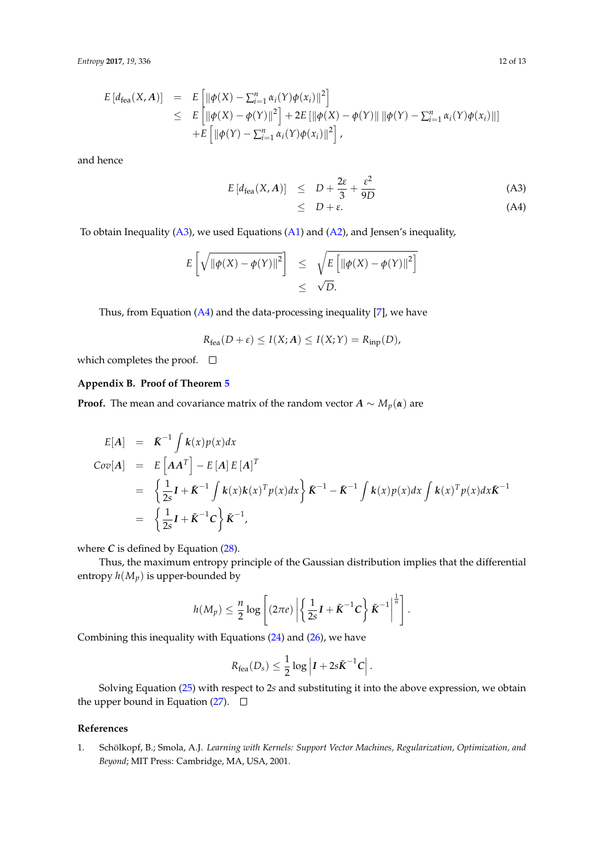$$
E\left[d_{\text{fea}}(X, A)\right] = E\left[\|\phi(X) - \sum_{i=1}^{n} \alpha_i(Y)\phi(x_i)\|^2\right] \n\leq E\left[\|\phi(X) - \phi(Y)\|^2\right] + 2E\left[\|\phi(X) - \phi(Y)\|\|\phi(Y) - \sum_{i=1}^{n} \alpha_i(Y)\phi(x_i)\|\right] \n+ E\left[\|\phi(Y) - \sum_{i=1}^{n} \alpha_i(Y)\phi(x_i)\|^2\right],
$$

and hence

<span id="page-11-2"></span>
$$
E\left[d_{\text{fea}}(X,A)\right] \leq D + \frac{2\varepsilon}{3} + \frac{\varepsilon^2}{9D} \tag{A3}
$$

$$
\leq D + \varepsilon. \tag{A4}
$$

To obtain Inequality [\(A3\)](#page-11-2), we used Equations [\(A1\)](#page-10-2) and [\(A2\)](#page-10-3), and Jensen's inequality,

$$
E\left[\sqrt{\|\phi(X) - \phi(Y)\|^2}\right] \leq \sqrt{E\left[\|\phi(X) - \phi(Y)\|^2\right]}
$$
  

$$
\leq \sqrt{D}.
$$

Thus, from Equation  $(A4)$  and the data-processing inequality  $[7]$ , we have

$$
R_{\text{fea}}(D+\varepsilon) \le I(X;A) \le I(X;Y) = R_{\text{inp}}(D),
$$

which completes the proof.  $\square$ 

# <span id="page-11-1"></span>**Appendix B. Proof of Theorem [5](#page-6-4)**

**Proof.** The mean and covariance matrix of the random vector  $A \sim M_p(\alpha)$  are

$$
E[A] = \tilde{K}^{-1} \int k(x) p(x) dx
$$
  
\n
$$
Cov[A] = E \left[ A A^{T} \right] - E [A] E [A]^{T}
$$
  
\n
$$
= \left\{ \frac{1}{2s} I + \tilde{K}^{-1} \int k(x) k(x)^{T} p(x) dx \right\} \tilde{K}^{-1} - \tilde{K}^{-1} \int k(x) p(x) dx \int k(x)^{T} p(x) dx \tilde{K}^{-1}
$$
  
\n
$$
= \left\{ \frac{1}{2s} I + \tilde{K}^{-1} C \right\} \tilde{K}^{-1},
$$

where  $C$  is defined by Equation  $(28)$ .

Thus, the maximum entropy principle of the Gaussian distribution implies that the differential entropy  $h(M_p)$  is upper-bounded by

$$
h(M_p) \leq \frac{n}{2} \log \left[ (2\pi e) \left| \left\{ \frac{1}{2s} \mathbf{I} + \tilde{\mathbf{K}}^{-1} \mathbf{C} \right\} \tilde{\mathbf{K}}^{-1} \right|^{\frac{1}{n}} \right].
$$

Combining this inequality with Equations [\(24\)](#page-6-5) and [\(26\)](#page-6-6), we have

$$
R_{\text{fea}}(D_s) \leq \frac{1}{2} \log \left| I + 2s \tilde{K}^{-1} C \right|.
$$

Solving Equation [\(25\)](#page-6-5) with respect to 2*s* and substituting it into the above expression, we obtain the upper bound in Equation [\(27\)](#page-6-3).  $\Box$ 

# **References**

<span id="page-11-0"></span>1. Schölkopf, B.; Smola, A.J. *Learning with Kernels: Support Vector Machines, Regularization, Optimization, and Beyond*; MIT Press: Cambridge, MA, USA, 2001.